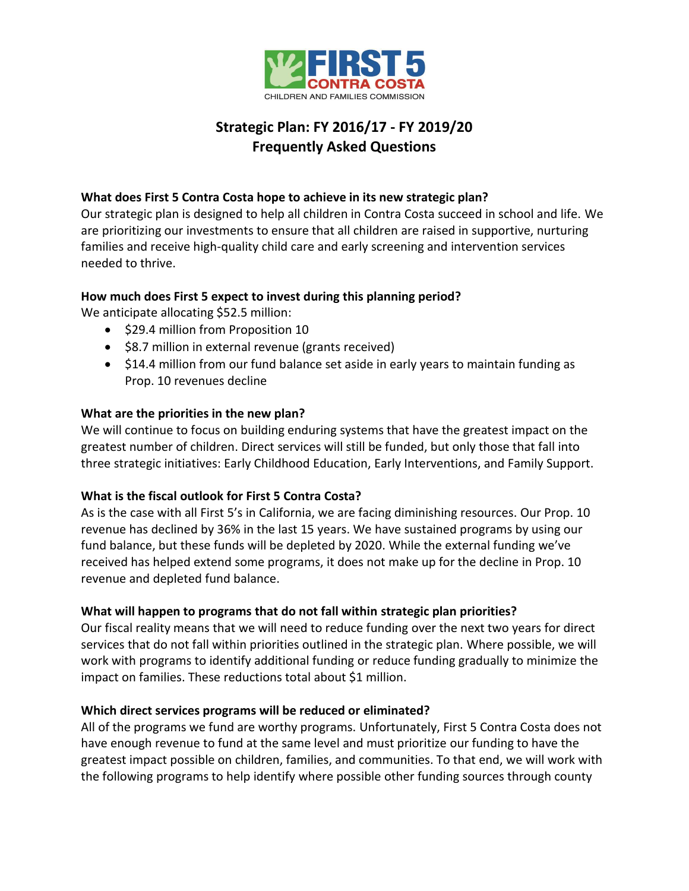

# **Strategic Plan: FY 2016/17 - FY 2019/20 Frequently Asked Questions**

### **What does First 5 Contra Costa hope to achieve in its new strategic plan?**

Our strategic plan is designed to help all children in Contra Costa succeed in school and life. We are prioritizing our investments to ensure that all children are raised in supportive, nurturing families and receive high-quality child care and early screening and intervention services needed to thrive.

### **How much does First 5 expect to invest during this planning period?**

We anticipate allocating \$52.5 million:

- \$29.4 million from Proposition 10
- \$8.7 million in external revenue (grants received)
- \$14.4 million from our fund balance set aside in early years to maintain funding as Prop. 10 revenues decline

## **What are the priorities in the new plan?**

We will continue to focus on building enduring systems that have the greatest impact on the greatest number of children. Direct services will still be funded, but only those that fall into three strategic initiatives: Early Childhood Education, Early Interventions, and Family Support.

### **What is the fiscal outlook for First 5 Contra Costa?**

As is the case with all First 5's in California, we are facing diminishing resources. Our Prop. 10 revenue has declined by 36% in the last 15 years. We have sustained programs by using our fund balance, but these funds will be depleted by 2020. While the external funding we've received has helped extend some programs, it does not make up for the decline in Prop. 10 revenue and depleted fund balance.

### **What will happen to programs that do not fall within strategic plan priorities?**

Our fiscal reality means that we will need to reduce funding over the next two years for direct services that do not fall within priorities outlined in the strategic plan. Where possible, we will work with programs to identify additional funding or reduce funding gradually to minimize the impact on families. These reductions total about \$1 million.

### **Which direct services programs will be reduced or eliminated?**

All of the programs we fund are worthy programs. Unfortunately, First 5 Contra Costa does not have enough revenue to fund at the same level and must prioritize our funding to have the greatest impact possible on children, families, and communities. To that end, we will work with the following programs to help identify where possible other funding sources through county